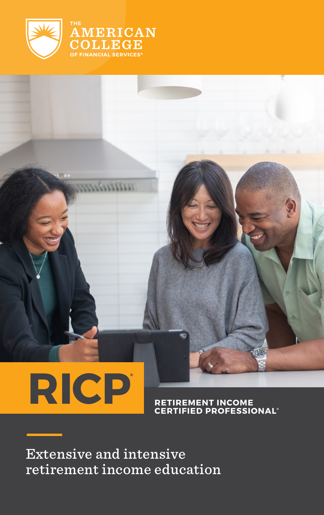

AMERICAN **LLEGE ANCIAL SERVICES** 

# **[RICP](https://www.theamericancollege.edu/designations-degrees/ricp) ®**

**RETIREMENT INCOME CERTIFIED PROFESSIONAL**

Extensive and intensive retirement income education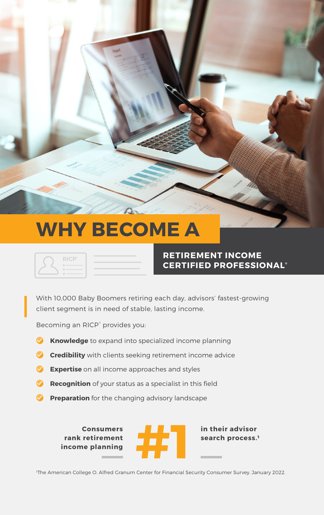### **WHY BECOME A**





#### **RETIREMENT INCOME CERTIFIED PROFESSIONAL ®**

With 10,000 Baby Boomers retiring each day, advisors' fastest-growing client segment is in need of stable, lasting income.

Becoming an RICP<sup>®</sup> provides you:

- **Knowledge** to expand into specialized income planning
- **Credibility** with clients seeking retirement income advice
- **Expertise** on all income approaches and styles
- **Recognition** of your status as a specialist in this field
- **Preparation** for the changing advisory landscape

**Consumers rank retirement** 



search process.<sup>1</sup>

The American College O. Alfred Granum Center for Financial Security Consumer Survey. January 2022.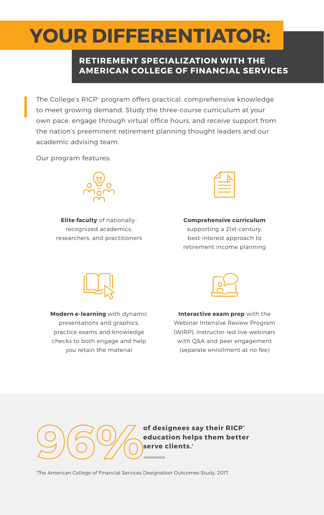### **YOUR DIFFERENTIATOR:**

#### **RETIREMENT SPECIALIZATION WITH THE AMERICAN COLLEGE OF FINANCIAL SERVICES**

The College's RICP® program offers practical, comprehensive knowledge to meet growing demand. Study the three-course curriculum at your own pace, engage through virtual office hours, and receive support from the nation's preeminent retirement planning thought leaders and our academic advising team.

Our program features:



**Elite faculty** of nationallyrecognized academics, researchers, and practitioners

**Comprehensive curriculum** supporting a 21st-century, best-interest approach to retirement income planning



**Modern e-learning** with dynamic presentations and graphics, practice exams and knowledge checks to both engage and help you retain the material



**Interactive exam prep** with the Webinar Intensive Review Program (WIRP), instructor-led live webinars with Q&A and peer engagement (separate enrollment at no fee)



**of designees say their RICP ® education helps them better** 

2 The American College of Financial Services Designation Outcomes Study. 2017.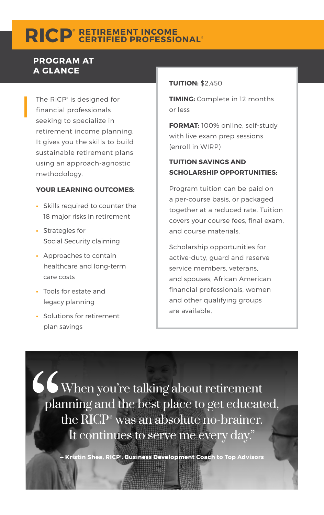### $\textbf{RICP}^{\text{\tiny{*}}}\text{RETIREMENT INCOME}$

#### **PROGRAM AT A GLANCE**

The RICP® is designed for financial professionals seeking to specialize in retirement income planning. It gives you the skills to build sustainable retirement plans using an approach-agnostic methodology.

#### **YOUR LEARNING OUTCOMES:**

- **•** Skills required to counter the 18 major risks in retirement
- **•** Strategies for Social Security claiming
- **•** Approaches to contain healthcare and long-term care costs
- **•** Tools for estate and legacy planning
- **•** Solutions for retirement plan savings

#### **TUITION:** \$2,450

**TIMING:** Complete in 12 months or less

**FORMAT:** 100% online, self-study with live exam prep sessions (enroll in WIRP)

#### **TUITION SAVINGS AND SCHOLARSHIP OPPORTUNITIES:**

Program tuition can be paid on a per-course basis, or packaged together at a reduced rate. Tuition covers your course fees, final exam, and course materials.

Scholarship opportunities for active-duty, guard and reserve service members, veterans, and spouses, African American financial professionals, women and other qualifying groups are available.

When you're talking about retirement planning and the best place to get educated, the RICP® was an absolute no-brainer. It continues to serve me every day."

**— Kristin Shea, RICP® , Business Development Coach to Top Advisors**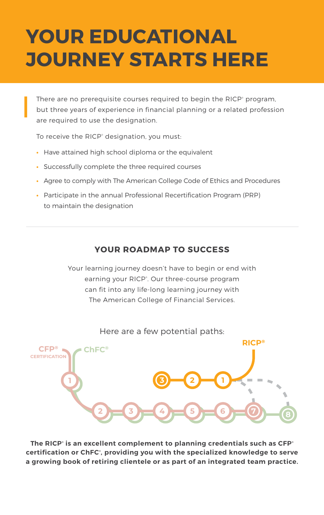### **YOUR EDUCATIONAL JOURNEY STARTS HERE**

There are no prerequisite courses required to begin the RICP<sup>®</sup> program, but three years of experience in financial planning or a related profession are required to use the designation.

To receive the RICP<sup>®</sup> designation, you must:

- **•** Have attained high school diploma or the equivalent
- **•** Successfully complete the three required courses
- **•** Agree to comply with The American College Code of Ethics and Procedures
- **•** Participate in the annual Professional Recertification Program (PRP) to maintain the designation

#### **YOUR ROADMAP TO SUCCESS**

Your learning journey doesn't have to begin or end with earning your RICP<sup>®</sup>. Our three-course program can fit into any life-long learning journey with The American College of Financial Services.



Here are a few potential paths:

**The RICP® is an excellent complement to planning credentials such as CFP® certification or ChFC® , providing you with the specialized knowledge to serve a growing book of retiring clientele or as part of an integrated team practice.**